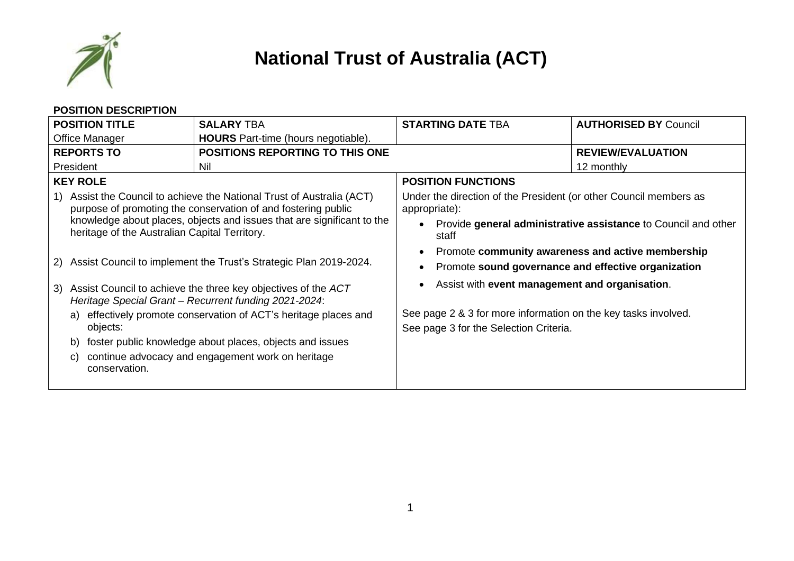

## **National Trust of Australia (ACT)**

|                                                                                                                                                                                                                                                                                                                                                                                                                                                                                                                                                                                                                              | <b>POSITION DESCRIPTION</b> |                                                   |                                                                                                                                                                                                                                                                                                                  |                                                                                                                     |
|------------------------------------------------------------------------------------------------------------------------------------------------------------------------------------------------------------------------------------------------------------------------------------------------------------------------------------------------------------------------------------------------------------------------------------------------------------------------------------------------------------------------------------------------------------------------------------------------------------------------------|-----------------------------|---------------------------------------------------|------------------------------------------------------------------------------------------------------------------------------------------------------------------------------------------------------------------------------------------------------------------------------------------------------------------|---------------------------------------------------------------------------------------------------------------------|
| <b>POSITION TITLE</b>                                                                                                                                                                                                                                                                                                                                                                                                                                                                                                                                                                                                        |                             | <b>SALARY TBA</b>                                 | <b>STARTING DATE TBA</b>                                                                                                                                                                                                                                                                                         | <b>AUTHORISED BY Council</b>                                                                                        |
| Office Manager                                                                                                                                                                                                                                                                                                                                                                                                                                                                                                                                                                                                               |                             | <b>HOURS</b> Part-time (hours negotiable).        |                                                                                                                                                                                                                                                                                                                  |                                                                                                                     |
| <b>REPORTS TO</b>                                                                                                                                                                                                                                                                                                                                                                                                                                                                                                                                                                                                            |                             | <b>POSITIONS REPORTING TO THIS ONE</b>            |                                                                                                                                                                                                                                                                                                                  | <b>REVIEW/EVALUATION</b>                                                                                            |
| President                                                                                                                                                                                                                                                                                                                                                                                                                                                                                                                                                                                                                    |                             | Nil                                               |                                                                                                                                                                                                                                                                                                                  | 12 monthly                                                                                                          |
|                                                                                                                                                                                                                                                                                                                                                                                                                                                                                                                                                                                                                              | <b>KEY ROLE</b>             |                                                   | <b>POSITION FUNCTIONS</b>                                                                                                                                                                                                                                                                                        |                                                                                                                     |
| 1) Assist the Council to achieve the National Trust of Australia (ACT)<br>purpose of promoting the conservation of and fostering public<br>knowledge about places, objects and issues that are significant to the<br>heritage of the Australian Capital Territory.<br>2) Assist Council to implement the Trust's Strategic Plan 2019-2024.<br>Assist Council to achieve the three key objectives of the ACT<br>3)<br>Heritage Special Grant - Recurrent funding 2021-2024:<br>a) effectively promote conservation of ACT's heritage places and<br>objects:<br>foster public knowledge about places, objects and issues<br>b) |                             |                                                   | Under the direction of the President (or other Council members as<br>appropriate):<br>staff<br>Promote sound governance and effective organization<br>Assist with event management and organisation.<br>See page 2 & 3 for more information on the key tasks involved.<br>See page 3 for the Selection Criteria. | Provide general administrative assistance to Council and other<br>Promote community awareness and active membership |
| C)                                                                                                                                                                                                                                                                                                                                                                                                                                                                                                                                                                                                                           | conservation.               | continue advocacy and engagement work on heritage |                                                                                                                                                                                                                                                                                                                  |                                                                                                                     |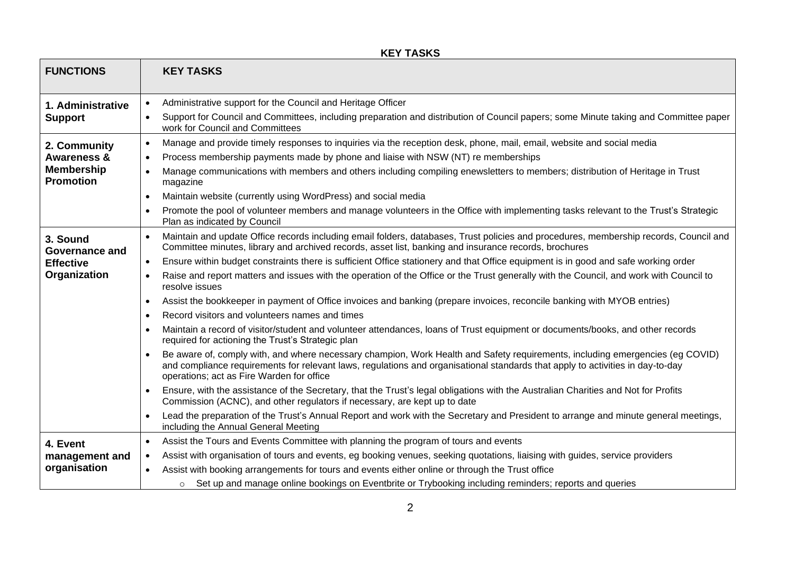| <b>FUNCTIONS</b>                      |           | <b>KEY TASKS</b>                                                                                                                                                                                                                                                                                             |
|---------------------------------------|-----------|--------------------------------------------------------------------------------------------------------------------------------------------------------------------------------------------------------------------------------------------------------------------------------------------------------------|
| 1. Administrative                     |           | Administrative support for the Council and Heritage Officer                                                                                                                                                                                                                                                  |
| <b>Support</b>                        |           | Support for Council and Committees, including preparation and distribution of Council papers; some Minute taking and Committee paper<br>work for Council and Committees                                                                                                                                      |
| 2. Community                          | $\bullet$ | Manage and provide timely responses to inquiries via the reception desk, phone, mail, email, website and social media                                                                                                                                                                                        |
| <b>Awareness &amp;</b>                | $\bullet$ | Process membership payments made by phone and liaise with NSW (NT) re memberships                                                                                                                                                                                                                            |
| <b>Membership</b><br><b>Promotion</b> | $\bullet$ | Manage communications with members and others including compiling enewsletters to members; distribution of Heritage in Trust<br>magazine                                                                                                                                                                     |
|                                       | $\bullet$ | Maintain website (currently using WordPress) and social media                                                                                                                                                                                                                                                |
|                                       | $\bullet$ | Promote the pool of volunteer members and manage volunteers in the Office with implementing tasks relevant to the Trust's Strategic<br>Plan as indicated by Council                                                                                                                                          |
| 3. Sound<br><b>Governance and</b>     | $\bullet$ | Maintain and update Office records including email folders, databases, Trust policies and procedures, membership records, Council and<br>Committee minutes, library and archived records, asset list, banking and insurance records, brochures                                                               |
| <b>Effective</b>                      | $\bullet$ | Ensure within budget constraints there is sufficient Office stationery and that Office equipment is in good and safe working order                                                                                                                                                                           |
| Organization                          | $\bullet$ | Raise and report matters and issues with the operation of the Office or the Trust generally with the Council, and work with Council to<br>resolve issues                                                                                                                                                     |
|                                       | $\bullet$ | Assist the bookkeeper in payment of Office invoices and banking (prepare invoices, reconcile banking with MYOB entries)                                                                                                                                                                                      |
|                                       | $\bullet$ | Record visitors and volunteers names and times                                                                                                                                                                                                                                                               |
|                                       | $\bullet$ | Maintain a record of visitor/student and volunteer attendances, loans of Trust equipment or documents/books, and other records<br>required for actioning the Trust's Strategic plan                                                                                                                          |
|                                       |           | Be aware of, comply with, and where necessary champion, Work Health and Safety requirements, including emergencies (eg COVID)<br>and compliance requirements for relevant laws, regulations and organisational standards that apply to activities in day-to-day<br>operations; act as Fire Warden for office |
|                                       |           | Ensure, with the assistance of the Secretary, that the Trust's legal obligations with the Australian Charities and Not for Profits<br>Commission (ACNC), and other regulators if necessary, are kept up to date                                                                                              |
|                                       | $\bullet$ | Lead the preparation of the Trust's Annual Report and work with the Secretary and President to arrange and minute general meetings,<br>including the Annual General Meeting                                                                                                                                  |
| 4. Event                              | $\bullet$ | Assist the Tours and Events Committee with planning the program of tours and events                                                                                                                                                                                                                          |
| management and                        | $\bullet$ | Assist with organisation of tours and events, eg booking venues, seeking quotations, liaising with guides, service providers                                                                                                                                                                                 |
| organisation                          |           | Assist with booking arrangements for tours and events either online or through the Trust office                                                                                                                                                                                                              |
|                                       |           | Set up and manage online bookings on Eventbrite or Trybooking including reminders; reports and queries<br>$\circ$                                                                                                                                                                                            |

## **KEY TASKS**